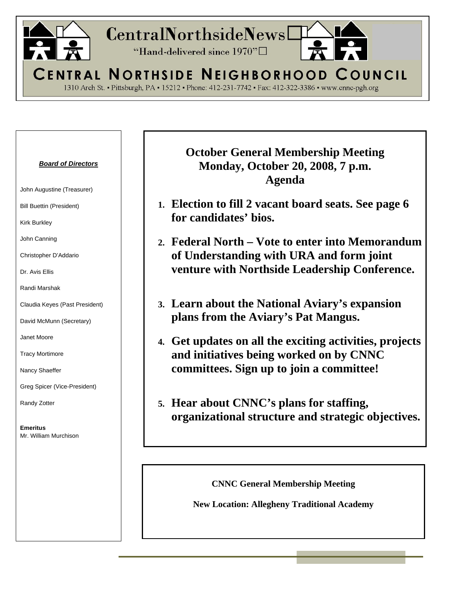

| <b>Board of Directors</b><br>John Augustine (Treasurer) | <b>October General Membership Meeting</b><br><b>Monday, October 20, 2008, 7 p.m.</b><br>Agenda |
|---------------------------------------------------------|------------------------------------------------------------------------------------------------|
| <b>Bill Buettin (President)</b>                         | 1. Election to fill 2 vacant board seats. See page 6                                           |
| <b>Kirk Burkley</b>                                     | for candidates' bios.                                                                          |
| John Canning                                            | 2. Federal North – Vote to enter into Memorandum                                               |
| Christopher D'Addario                                   | of Understanding with URA and form joint                                                       |
| Dr. Avis Ellis                                          | venture with Northside Leadership Conference.                                                  |
| Randi Marshak                                           |                                                                                                |
| Claudia Keyes (Past President)                          | 3. Learn about the National Aviary's expansion                                                 |
| David McMunn (Secretary)                                | plans from the Aviary's Pat Mangus.                                                            |
| Janet Moore                                             | 4. Get updates on all the exciting activities, projects                                        |
| <b>Tracy Mortimore</b>                                  | and initiatives being worked on by CNNC                                                        |
| Nancy Shaeffer                                          | committees. Sign up to join a committee!                                                       |
| Greg Spicer (Vice-President)                            |                                                                                                |
| Randy Zotter                                            | 5. Hear about CNNC's plans for staffing,                                                       |
| <b>Emeritus</b><br>Mr. William Murchison                | organizational structure and strategic objectives.                                             |
|                                                         |                                                                                                |

**CNNC General Membership Meeting** 

**New Location: Allegheny Traditional Academy**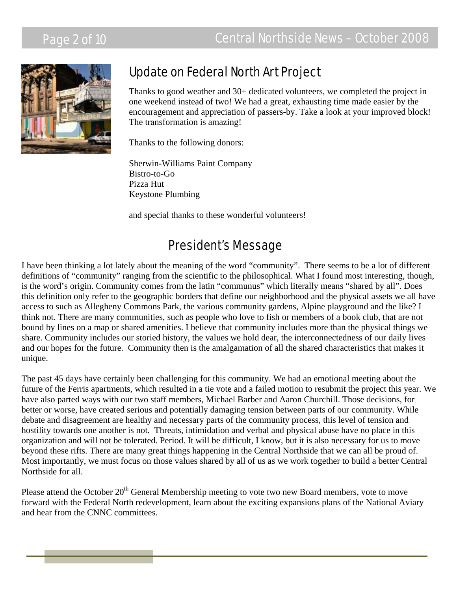# Page 2 of 10 Central Northside News – October 2008



# Update on Federal North Art Project

Thanks to good weather and 30+ dedicated volunteers, we completed the project in one weekend instead of two! We had a great, exhausting time made easier by the encouragement and appreciation of passers-by. Take a look at your improved block! The transformation is amazing!

Thanks to the following donors:

Sherwin-Williams Paint Company Bistro-to-Go Pizza Hut Keystone Plumbing

and special thanks to these wonderful volunteers!

### President's Message

I have been thinking a lot lately about the meaning of the word "community". There seems to be a lot of different definitions of "community" ranging from the scientific to the philosophical. What I found most interesting, though, is the word's origin. Community comes from the latin "communus" which literally means "shared by all". Does this definition only refer to the geographic borders that define our neighborhood and the physical assets we all have access to such as Allegheny Commons Park, the various community gardens, Alpine playground and the like? I think not. There are many communities, such as people who love to fish or members of a book club, that are not bound by lines on a map or shared amenities. I believe that community includes more than the physical things we share. Community includes our storied history, the values we hold dear, the interconnectedness of our daily lives and our hopes for the future. Community then is the amalgamation of all the shared characteristics that makes it unique.

The past 45 days have certainly been challenging for this community. We had an emotional meeting about the future of the Ferris apartments, which resulted in a tie vote and a failed motion to resubmit the project this year. We have also parted ways with our two staff members, Michael Barber and Aaron Churchill. Those decisions, for better or worse, have created serious and potentially damaging tension between parts of our community. While debate and disagreement are healthy and necessary parts of the community process, this level of tension and hostility towards one another is not. Threats, intimidation and verbal and physical abuse have no place in this organization and will not be tolerated. Period. It will be difficult, I know, but it is also necessary for us to move beyond these rifts. There are many great things happening in the Central Northside that we can all be proud of. Most importantly, we must focus on those values shared by all of us as we work together to build a better Central Northside for all.

Please attend the October 20<sup>th</sup> General Membership meeting to vote two new Board members, vote to move forward with the Federal North redevelopment, learn about the exciting expansions plans of the National Aviary and hear from the CNNC committees.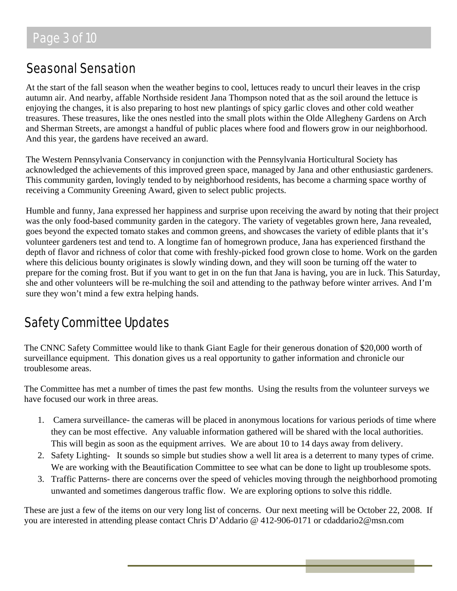# Seasonal Sensation

At the start of the fall season when the weather begins to cool, lettuces ready to uncurl their leaves in the crisp autumn air. And nearby, affable Northside resident Jana Thompson noted that as the soil around the lettuce is enjoying the changes, it is also preparing to host new plantings of spicy garlic cloves and other cold weather treasures. These treasures, like the ones nestled into the small plots within the Olde Allegheny Gardens on Arch and Sherman Streets, are amongst a handful of public places where food and flowers grow in our neighborhood. And this year, the gardens have received an award.

The Western Pennsylvania Conservancy in conjunction with the Pennsylvania Horticultural Society has acknowledged the achievements of this improved green space, managed by Jana and other enthusiastic gardeners. This community garden, lovingly tended to by neighborhood residents, has become a charming space worthy of receiving a Community Greening Award, given to select public projects.

Humble and funny, Jana expressed her happiness and surprise upon receiving the award by noting that their project was the only food-based community garden in the category. The variety of vegetables grown here, Jana revealed, goes beyond the expected tomato stakes and common greens, and showcases the variety of edible plants that it's volunteer gardeners test and tend to. A longtime fan of homegrown produce, Jana has experienced firsthand the depth of flavor and richness of color that come with freshly-picked food grown close to home. Work on the garden where this delicious bounty originates is slowly winding down, and they will soon be turning off the water to prepare for the coming frost. But if you want to get in on the fun that Jana is having, you are in luck. This Saturday, she and other volunteers will be re-mulching the soil and attending to the pathway before winter arrives. And I'm sure they won't mind a few extra helping hands.

# Safety Committee Updates

The CNNC Safety Committee would like to thank Giant Eagle for their generous donation of \$20,000 worth of surveillance equipment. This donation gives us a real opportunity to gather information and chronicle our troublesome areas.

The Committee has met a number of times the past few months. Using the results from the volunteer surveys we have focused our work in three areas.

- 1. Camera surveillance- the cameras will be placed in anonymous locations for various periods of time where they can be most effective. Any valuable information gathered will be shared with the local authorities. This will begin as soon as the equipment arrives. We are about 10 to 14 days away from delivery.
- 2. Safety Lighting- It sounds so simple but studies show a well lit area is a deterrent to many types of crime. We are working with the Beautification Committee to see what can be done to light up troublesome spots.
- 3. Traffic Patterns- there are concerns over the speed of vehicles moving through the neighborhood promoting unwanted and sometimes dangerous traffic flow. We are exploring options to solve this riddle.

These are just a few of the items on our very long list of concerns. Our next meeting will be October 22, 2008. If you are interested in attending please contact Chris D'Addario @ 412-906-0171 or cdaddario2@msn.com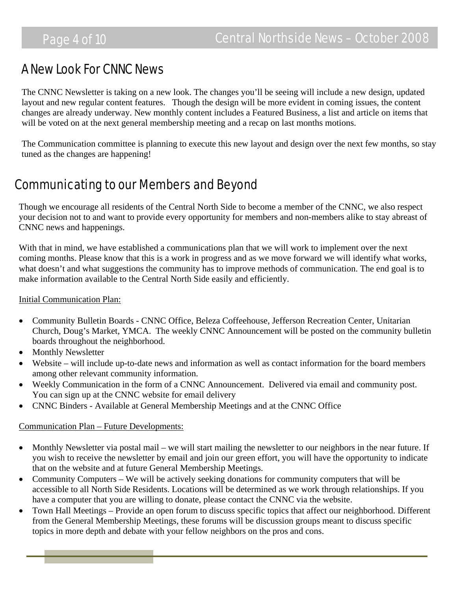### A New Look For CNNC News

The CNNC Newsletter is taking on a new look. The changes you'll be seeing will include a new design, updated layout and new regular content features. Though the design will be more evident in coming issues, the content changes are already underway. New monthly content includes a Featured Business, a list and article on items that will be voted on at the next general membership meeting and a recap on last months motions.

The Communication committee is planning to execute this new layout and design over the next few months, so stay tuned as the changes are happening!

### Communicating to our Members and Beyond

Though we encourage all residents of the Central North Side to become a member of the CNNC, we also respect your decision not to and want to provide every opportunity for members and non-members alike to stay abreast of CNNC news and happenings.

With that in mind, we have established a communications plan that we will work to implement over the next coming months. Please know that this is a work in progress and as we move forward we will identify what works, what doesn't and what suggestions the community has to improve methods of communication. The end goal is to make information available to the Central North Side easily and efficiently.

### Initial Communication Plan:

- Community Bulletin Boards CNNC Office, Beleza Coffeehouse, Jefferson Recreation Center, Unitarian Church, Doug's Market, YMCA. The weekly CNNC Announcement will be posted on the community bulletin boards throughout the neighborhood.
- Monthly Newsletter
- Website will include up-to-date news and information as well as contact information for the board members among other relevant community information.
- Weekly Communication in the form of a CNNC Announcement. Delivered via email and community post. You can sign up at the CNNC website for email delivery
- CNNC Binders Available at General Membership Meetings and at the CNNC Office

### Communication Plan – Future Developments:

- Monthly Newsletter via postal mail we will start mailing the newsletter to our neighbors in the near future. If you wish to receive the newsletter by email and join our green effort, you will have the opportunity to indicate that on the website and at future General Membership Meetings.
- Community Computers We will be actively seeking donations for community computers that will be accessible to all North Side Residents. Locations will be determined as we work through relationships. If you have a computer that you are willing to donate, please contact the CNNC via the website.
- Town Hall Meetings Provide an open forum to discuss specific topics that affect our neighborhood. Different from the General Membership Meetings, these forums will be discussion groups meant to discuss specific topics in more depth and debate with your fellow neighbors on the pros and cons.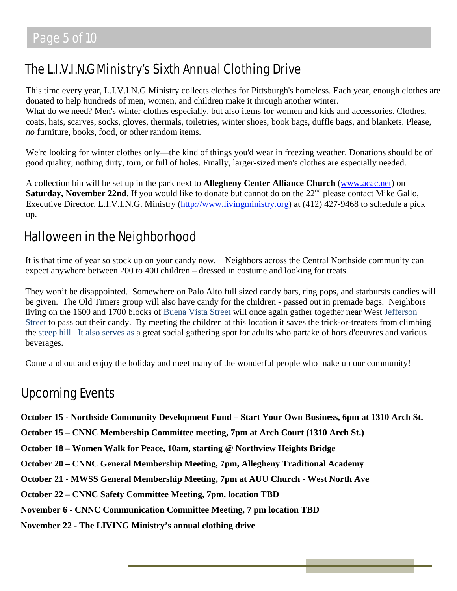# The L.I.V.I.N.G Ministry's Sixth Annual Clothing Drive

This time every year, L.I.V.I.N.G Ministry collects clothes for Pittsburgh's homeless. Each year, enough clothes are donated to help hundreds of men, women, and children make it through another winter. What do we need? Men's winter clothes especially, but also items for women and kids and accessories. Clothes, coats, hats, scarves, socks, gloves, thermals, toiletries, winter shoes, book bags, duffle bags, and blankets. Please, *no* furniture, books, food, or other random items.

We're looking for winter clothes only—the kind of things you'd wear in freezing weather. Donations should be of good quality; nothing dirty, torn, or full of holes. Finally, larger-sized men's clothes are especially needed.

A collection bin will be set up in the park next to **Allegheny Center Alliance Church** ([www.acac.net](http://www.acac.net/)) on **Saturday, November 22nd**. If you would like to donate but cannot do on the 22<sup>nd</sup> please contact Mike Gallo, Executive Director, L.I.V.I.N.G. Ministry [\(http://www.livingministry.org\)](http://www.livingministry.org/) at (412) 427-9468 to schedule a pick up.

# Halloween in the Neighborhood

It is that time of year so stock up on your candy now. Neighbors across the Central Northside community can expect anywhere between 200 to 400 children – dressed in costume and looking for treats.

They won't be disappointed. Somewhere on Palo Alto full sized candy bars, ring pops, and starbursts candies will be given. The Old Timers group will also have candy for the children - passed out in premade bags. Neighbors living on the 1600 and 1700 blocks of Buena Vista Street will once again gather together near West Jefferson Street to pass out their candy. By meeting the children at this location it saves the trick-or-treaters from climbing the steep hill. It also serves as a great social gathering spot for adults who partake of hors d'oeuvres and various beverages.

Come and out and enjoy the holiday and meet many of the wonderful people who make up our community!

### Upcoming Events

**October 15 - Northside Community Development Fund – Start Your Own Business, 6pm at 1310 Arch St.** 

**October 15 – CNNC Membership Committee meeting, 7pm at Arch Court (1310 Arch St.)** 

**October 18 – Women Walk for Peace, 10am, starting @ Northview Heights Bridge** 

**October 20 – CNNC General Membership Meeting, 7pm, Allegheny Traditional Academy** 

**October 21 - MWSS General Membership Meeting, 7pm at AUU Church - West North Ave** 

**October 22 – CNNC Safety Committee Meeting, 7pm, location TBD** 

**November 6 - CNNC Communication Committee Meeting, 7 pm location TBD** 

**November 22 - The LIVING Ministry's annual clothing drive**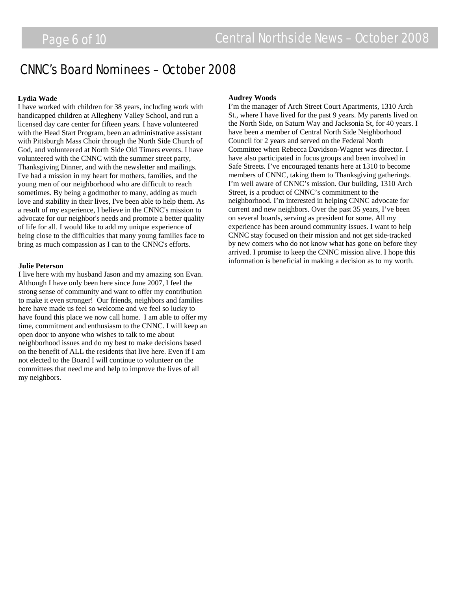### CNNC's Board Nominees – October 2008

#### **Lydia Wade**

I have worked with children for 38 years, including work with handicapped children at Allegheny Valley School, and run a licensed day care center for fifteen years. I have volunteered with the Head Start Program, been an administrative assistant with Pittsburgh Mass Choir through the North Side Church of God, and volunteered at North Side Old Timers events. I have volunteered with the CNNC with the summer street party, Thanksgiving Dinner, and with the newsletter and mailings. I've had a mission in my heart for mothers, families, and the young men of our neighborhood who are difficult to reach sometimes. By being a godmother to many, adding as much love and stability in their lives, I've been able to help them. As a result of my experience, I believe in the CNNC's mission to advocate for our neighbor's needs and promote a better quality of life for all. I would like to add my unique experience of being close to the difficulties that many young families face to bring as much compassion as I can to the CNNC's efforts.

#### **Julie Peterson**

I live here with my husband Jason and my amazing son Evan. Although I have only been here since June 2007, I feel the strong sense of community and want to offer my contribution to make it even stronger! Our friends, neighbors and families here have made us feel so welcome and we feel so lucky to have found this place we now call home. I am able to offer my time, commitment and enthusiasm to the CNNC. I will keep an open door to anyone who wishes to talk to me about neighborhood issues and do my best to make decisions based on the benefit of ALL the residents that live here. Even if I am not elected to the Board I will continue to volunteer on the committees that need me and help to improve the lives of all my neighbors.

#### **Audrey Woods**

I'm the manager of Arch Street Court Apartments, 1310 Arch St., where I have lived for the past 9 years. My parents lived on the North Side, on Saturn Way and Jacksonia St, for 40 years. I have been a member of Central North Side Neighborhood Council for 2 years and served on the Federal North Committee when Rebecca Davidson-Wagner was director. I have also participated in focus groups and been involved in Safe Streets. I've encouraged tenants here at 1310 to become members of CNNC, taking them to Thanksgiving gatherings. I'm well aware of CNNC's mission. Our building, 1310 Arch Street, is a product of CNNC's commitment to the neighborhood. I'm interested in helping CNNC advocate for current and new neighbors. Over the past 35 years, I've been on several boards, serving as president for some. All my experience has been around community issues. I want to help CNNC stay focused on their mission and not get side-tracked by new comers who do not know what has gone on before they arrived. I promise to keep the CNNC mission alive. I hope this information is beneficial in making a decision as to my worth.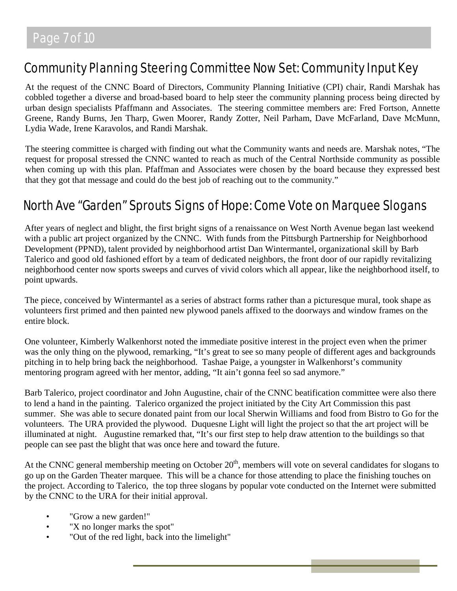### Community Planning Steering Committee Now Set: Community Input Key

At the request of the CNNC Board of Directors, Community Planning Initiative (CPI) chair, Randi Marshak has cobbled together a diverse and broad-based board to help steer the community planning process being directed by urban design specialists Pfaffmann and Associates. The steering committee members are: Fred Fortson, Annette Greene, Randy Burns, Jen Tharp, Gwen Moorer, Randy Zotter, Neil Parham, Dave McFarland, Dave McMunn, Lydia Wade, Irene Karavolos, and Randi Marshak.

The steering committee is charged with finding out what the Community wants and needs are. Marshak notes, "The request for proposal stressed the CNNC wanted to reach as much of the Central Northside community as possible when coming up with this plan. Pfaffman and Associates were chosen by the board because they expressed best that they got that message and could do the best job of reaching out to the community."

# North Ave "Garden" Sprouts Signs of Hope: Come Vote on Marquee Slogans

After years of neglect and blight, the first bright signs of a renaissance on West North Avenue began last weekend with a public art project organized by the CNNC. With funds from the Pittsburgh Partnership for Neighborhood Development (PPND), talent provided by neighborhood artist Dan Wintermantel, organizational skill by Barb Talerico and good old fashioned effort by a team of dedicated neighbors, the front door of our rapidly revitalizing neighborhood center now sports sweeps and curves of vivid colors which all appear, like the neighborhood itself, to point upwards.

The piece, conceived by Wintermantel as a series of abstract forms rather than a picturesque mural, took shape as volunteers first primed and then painted new plywood panels affixed to the doorways and window frames on the entire block.

One volunteer, Kimberly Walkenhorst noted the immediate positive interest in the project even when the primer was the only thing on the plywood, remarking, "It's great to see so many people of different ages and backgrounds pitching in to help bring back the neighborhood. Tashae Paige, a youngster in Walkenhorst's community mentoring program agreed with her mentor, adding, "It ain't gonna feel so sad anymore."

Barb Talerico, project coordinator and John Augustine, chair of the CNNC beatification committee were also there to lend a hand in the painting. Talerico organized the project initiated by the City Art Commission this past summer. She was able to secure donated paint from our local Sherwin Williams and food from Bistro to Go for the volunteers. The URA provided the plywood. Duquesne Light will light the project so that the art project will be illuminated at night. Augustine remarked that, "It's our first step to help draw attention to the buildings so that people can see past the blight that was once here and toward the future.

At the CNNC general membership meeting on October  $20<sup>th</sup>$ , members will vote on several candidates for slogans to go up on the Garden Theater marquee. This will be a chance for those attending to place the finishing touches on the project. According to Talerico, the top three slogans by popular vote conducted on the Internet were submitted by the CNNC to the URA for their initial approval.

- "Grow a new garden!"
- "X no longer marks the spot"
- "Out of the red light, back into the limelight"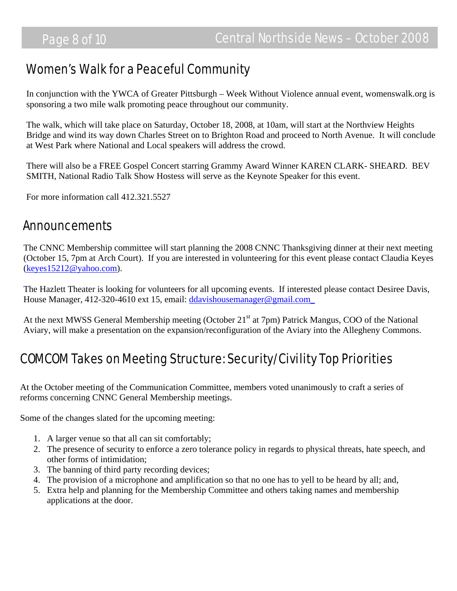### Women's Walk for a Peaceful Community

In conjunction with the YWCA of Greater Pittsburgh – Week Without Violence annual event, womenswalk.org is sponsoring a two mile walk promoting peace throughout our community.

The walk, which will take place on Saturday, October 18, 2008, at 10am, will start at the Northview Heights Bridge and wind its way down Charles Street on to Brighton Road and proceed to North Avenue. It will conclude at West Park where National and Local speakers will address the crowd.

There will also be a FREE Gospel Concert starring Grammy Award Winner KAREN CLARK- SHEARD. BEV SMITH, National Radio Talk Show Hostess will serve as the Keynote Speaker for this event.

For more information call 412.321.5527

### Announcements

The CNNC Membership committee will start planning the 2008 CNNC Thanksgiving dinner at their next meeting (October 15, 7pm at Arch Court). If you are interested in volunteering for this event please contact Claudia Keyes ([keyes15212@yahoo.com\)](mailto:keyes15212@yahoo.com).

The Hazlett Theater is looking for volunteers for all upcoming events. If interested please contact Desiree Davis, House Manager, 412-320-4610 ext 15, email: ddavishousemanager@gmail.com

At the next MWSS General Membership meeting (October 21<sup>st</sup> at 7pm) Patrick Mangus, COO of the National Aviary, will make a presentation on the expansion/reconfiguration of the Aviary into the Allegheny Commons.

# COMCOM Takes on Meeting Structure: Security/Civility Top Priorities

At the October meeting of the Communication Committee, members voted unanimously to craft a series of reforms concerning CNNC General Membership meetings.

Some of the changes slated for the upcoming meeting:

- 1. A larger venue so that all can sit comfortably;
- 2. The presence of security to enforce a zero tolerance policy in regards to physical threats, hate speech, and other forms of intimidation;
- 3. The banning of third party recording devices;
- 4. The provision of a microphone and amplification so that no one has to yell to be heard by all; and,
- 5. Extra help and planning for the Membership Committee and others taking names and membership applications at the door.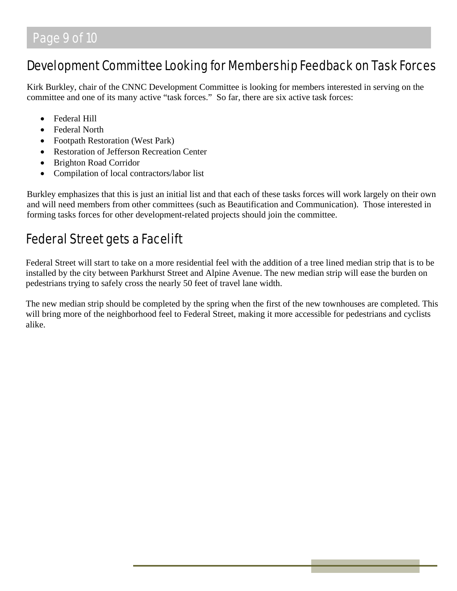### Development Committee Looking for Membership Feedback on Task Forces

Kirk Burkley, chair of the CNNC Development Committee is looking for members interested in serving on the committee and one of its many active "task forces." So far, there are six active task forces:

- Federal Hill
- Federal North
- Footpath Restoration (West Park)
- Restoration of Jefferson Recreation Center
- Brighton Road Corridor
- Compilation of local contractors/labor list

Burkley emphasizes that this is just an initial list and that each of these tasks forces will work largely on their own and will need members from other committees (such as Beautification and Communication). Those interested in forming tasks forces for other development-related projects should join the committee.

# Federal Street gets a Facelift

Federal Street will start to take on a more residential feel with the addition of a tree lined median strip that is to be installed by the city between Parkhurst Street and Alpine Avenue. The new median strip will ease the burden on pedestrians trying to safely cross the nearly 50 feet of travel lane width.

The new median strip should be completed by the spring when the first of the new townhouses are completed. This will bring more of the neighborhood feel to Federal Street, making it more accessible for pedestrians and cyclists alike.